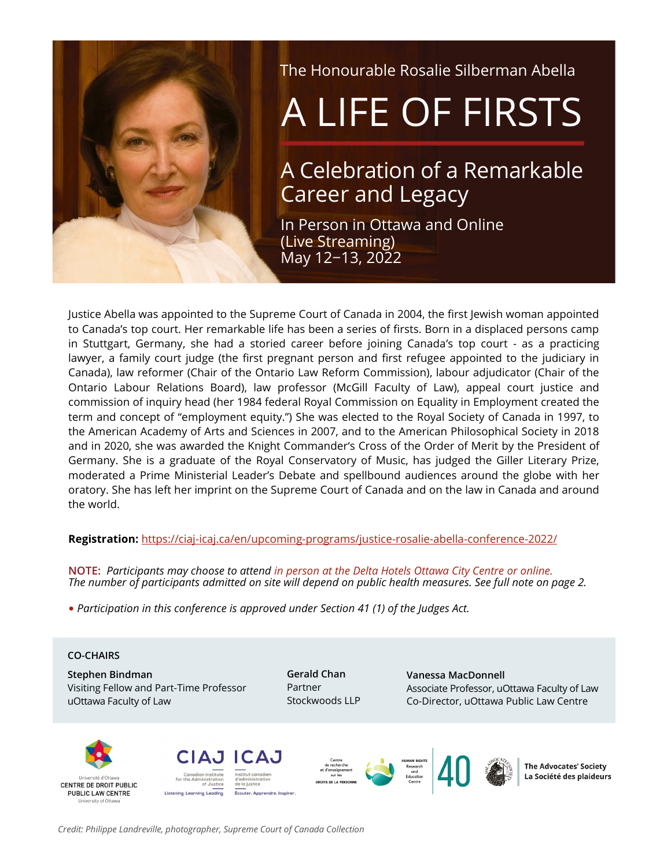

The Honourable Rosalie Silberman Abella

# A LIFE OF FIRSTS

# A Celebration of a Remarkable Career and Legacy

In Person in Ottawa and Online (Live Streaming) May 12−13, 2022

Justice Abella was appointed to the Supreme Court of Canada in 2004, the first Jewish woman appointed to Canada's top court. Her remarkable life has been a series of firsts. Born in a displaced persons camp in Stuttgart, Germany, she had a storied career before joining Canada's top court - as a practicing lawyer, a family court judge (the first pregnant person and first refugee appointed to the judiciary in Canada), law reformer (Chair of the Ontario Law Reform Commission), labour adjudicator (Chair of the Ontario Labour Relations Board), law professor (McGill Faculty of Law), appeal court justice and commission of inquiry head (her 1984 federal Royal Commission on Equality in Employment created the term and concept of "employment equity.") She was elected to the Royal Society of Canada in 1997, to the American Academy of Arts and Sciences in 2007, and to the American Philosophical Society in 2018 and in 2020, she was awarded the Knight Commander's Cross of the Order of Merit by the President of Germany. She is a graduate of the Royal Conservatory of Music, has judged the Giller Literary Prize, moderated a Prime Ministerial Leader's Debate and spellbound audiences around the globe with her oratory. She has left her imprint on the Supreme Court of Canada and on the law in Canada and around the world.

# **Registration:** https://ciaj-[icaj.ca/en/upcoming](https://ciaj-icaj.ca/en/upcoming-programs/justice-rosalie-abella-conference-2022/)-programs/justice-rosalie-abella-conference-2022/

**NOTE:** *Participants may choose to attend in person at the Delta Hotels Ottawa City Centre or online. The number of participants admitted on site will depend on public health measures. See full note on page 2.*

• *Participation in this conference is approved under Section 41 (1) of the Judges Act.*

#### **CO-CHAIRS**

**Stephen Bindman**  Visiting Fellow and Part-Time Professor uOttawa Faculty of Law

**Gerald Chan**  Partner Stockwoods LLP **Vanessa MacDonnell**  Associate Professor, uOttawa Faculty of Law Co-Director, uOttawa Public Law Centre





Écouter. Apprendre. Inspirer





**The Advocates' Society** La Société des plaideurs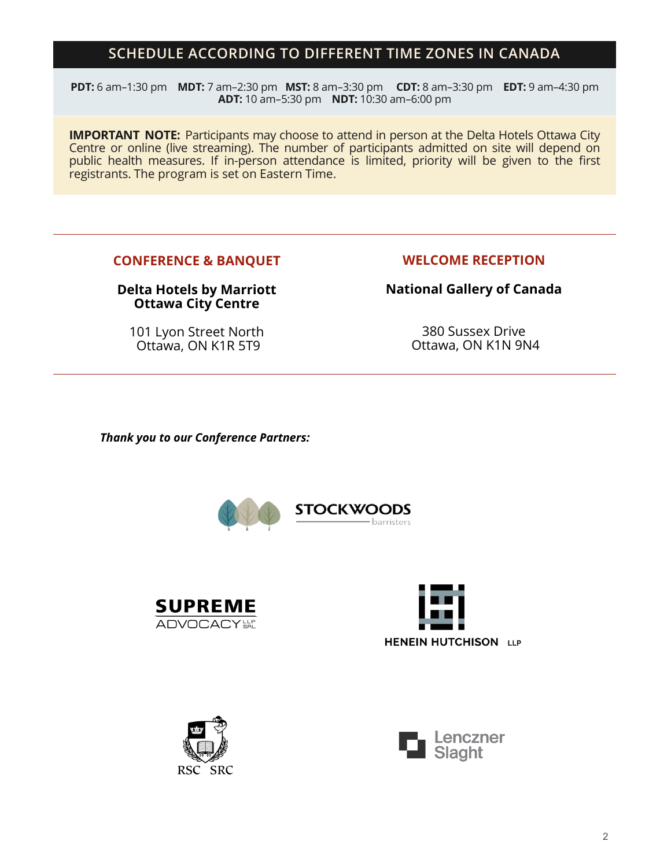# **SCHEDULE ACCORDING TO DIFFERENT TIME ZONES IN CANADA**

**PDT:** 6 am–1:30 pm **MDT:** 7 am–2:30 pm **MST:** 8 am–3:30 pm **CDT:** 8 am–3:30 pm **EDT:** 9 am–4:30 pm **ADT:** 10 am–5:30 pm **NDT:** 10:30 am–6:00 pm

**IMPORTANT NOTE:** Participants may choose to attend in person at the Delta Hotels Ottawa City Centre or online (live streaming). The number of participants admitted on site will depend on public health measures. If in-person attendance is limited, priority will be given to the first registrants. The program is set on Eastern Time.

# **CONFERENCE & BANQUET**

# **Delta Hotels by Marriott Ottawa City Centre**

101 Lyon Street North Ottawa, ON K1R 5T9

# **WELCOME RECEPTION**

**National Gallery of Canada** 

380 Sussex Drive Ottawa, ON K1N 9N4

*Thank you to our Conference Partners:*









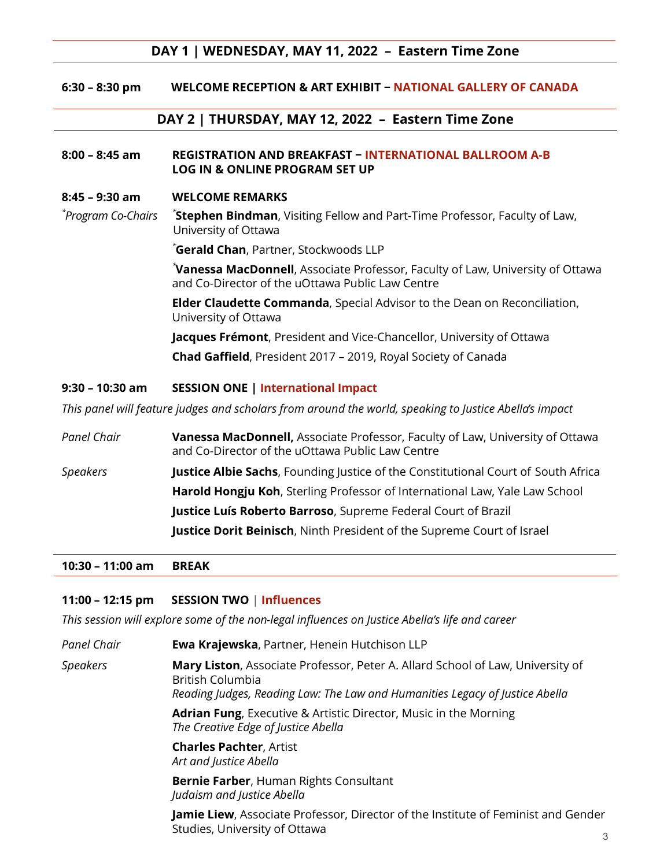# **DAY 1 | WEDNESDAY, MAY 11, 2022 – Eastern Time Zone**

**6:30 – 8:30 pm WELCOME RECEPTION & ART EXHIBIT − NATIONAL GALLERY OF CANADA**

# **DAY 2 | THURSDAY, MAY 12, 2022 – Eastern Time Zone**

#### **8:00 – 8:45 am REGISTRATION AND BREAKFAST − INTERNATIONAL BALLROOM A-B LOG IN & ONLINE PROGRAM SET UP**

#### **8:45 – 9:30 am WELCOME REMARKS**

*\* Program Co-Chairs \** **Stephen Bindman**, Visiting Fellow and Part-Time Professor, Faculty of Law, University of Ottawa

*\****Gerald Chan**, Partner, Stockwoods LLP

*\****Vanessa MacDonnell**, Associate Professor, Faculty of Law, University of Ottawa and Co-Director of the uOttawa Public Law Centre

**Elder Claudette Commanda**, Special Advisor to the Dean on Reconciliation, University of Ottawa

**Jacques Frémont**, President and Vice-Chancellor, University of Ottawa **Chad Gaffield**, President 2017 – 2019, Royal Society of Canada

#### **9:30 – 10:30 am SESSION ONE | International Impact**

*This panel will feature judges and scholars from around the world, speaking to Justice Abella's impact* 

| Panel Chair | Vanessa MacDonnell, Associate Professor, Faculty of Law, University of Ottawa<br>and Co-Director of the uOttawa Public Law Centre |
|-------------|-----------------------------------------------------------------------------------------------------------------------------------|
| Speakers    | <b>Justice Albie Sachs</b> , Founding Justice of the Constitutional Court of South Africa                                         |
|             | <b>Harold Hongju Koh, Sterling Professor of International Law, Yale Law School</b>                                                |
|             | <b>Justice Luís Roberto Barroso, Supreme Federal Court of Brazil</b>                                                              |
|             | Justice Dorit Beinisch, Ninth President of the Supreme Court of Israel                                                            |

#### **10:30 – 11:00 am BREAK**

# **11:00 – 12:15 pm SESSION TWO** | **Influences**

*This session will explore some of the non-legal influences on Justice Abella's life and career*

| Panel Chair     | Ewa Krajewska, Partner, Henein Hutchison LLP                                                                                                                                       |
|-----------------|------------------------------------------------------------------------------------------------------------------------------------------------------------------------------------|
| <b>Speakers</b> | Mary Liston, Associate Professor, Peter A. Allard School of Law, University of<br>British Columbia<br>Reading Judges, Reading Law: The Law and Humanities Legacy of Justice Abella |
|                 | <b>Adrian Fung, Executive &amp; Artistic Director, Music in the Morning</b><br>The Creative Edge of Justice Abella                                                                 |
|                 | <b>Charles Pachter, Artist</b><br>Art and Justice Abella                                                                                                                           |
|                 | <b>Bernie Farber, Human Rights Consultant</b><br>Judaism and Justice Abella                                                                                                        |
|                 | Jamie Liew, Associate Professor, Director of the Institute of Feminist and Gender<br>Studies, University of Ottawa                                                                 |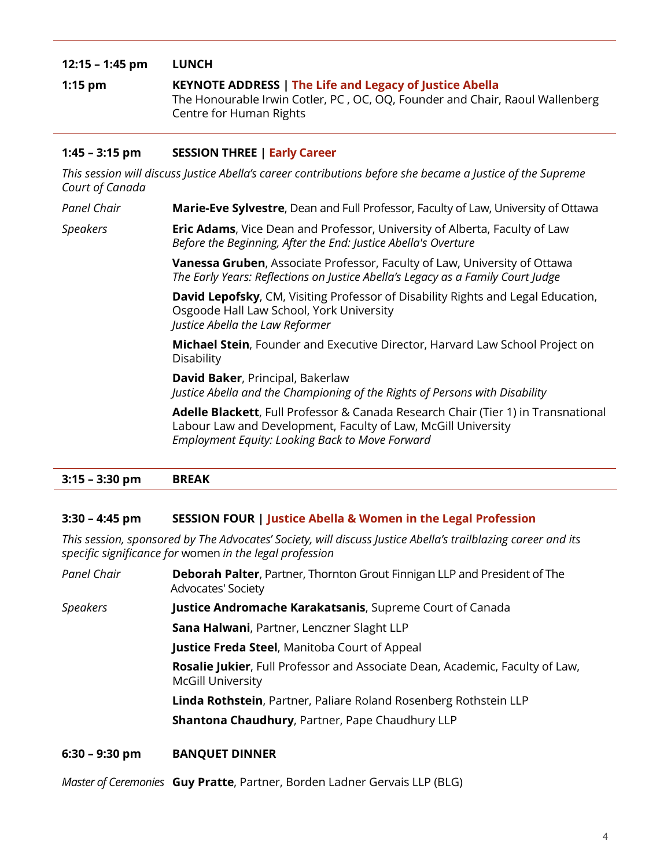# **12:15 – 1:45 pm LUNCH 1:15 pm KEYNOTE ADDRESS | The Life and Legacy of Justice Abella** The Honourable Irwin Cotler, PC , OC, OQ, Founder and Chair, Raoul Wallenberg Centre for Human Rights

# **1:45 – 3:15 pm SESSION THREE | Early Career**

*This session will discuss Justice Abella's career contributions before she became a Justice of the Supreme Court of Canada*

*Panel Chair* **Marie-Eve Sylvestre**, Dean and Full Professor, Faculty of Law, University of Ottawa

*Speakers* **Eric Adams**, Vice Dean and Professor, University of Alberta, Faculty of Law *Before the Beginning, After the End: Justice Abella's Overture* 

> **Vanessa Gruben**, Associate Professor, Faculty of Law, University of Ottawa *The Early Years: Reflections on Justice Abella's Legacy as a Family Court Judge*

**David Lepofsky**, CM, Visiting Professor of Disability Rights and Legal Education, Osgoode Hall Law School, York University *Justice Abella the Law Reformer* 

**Michael Stein**, Founder and Executive Director, Harvard Law School Project on Disability

**David Baker**, Principal, Bakerlaw *Justice Abella and the Championing of the Rights of Persons with Disability* 

**Adelle Blackett**, Full Professor & Canada Research Chair (Tier 1) in Transnational Labour Law and Development, Faculty of Law, McGill University *Employment Equity: Looking Back to Move Forward* 

# **3:15 – 3:30 pm BREAK**

# **3:30 – 4:45 pm SESSION FOUR | Justice Abella & Women in the Legal Profession**

*This session, sponsored by The Advocates' Society, will discuss Justice Abella's trailblazing career and its specific significance for* women *in the legal profession* 

*Panel Chair* **Deborah Palter**, Partner, Thornton Grout Finnigan LLP and President of The Advocates' Society

*Speakers* **Justice Andromache Karakatsanis**, Supreme Court of Canada

**Sana Halwani**, Partner, Lenczner Slaght LLP

**Justice Freda Steel**, Manitoba Court of Appeal

**Rosalie Jukier**, Full Professor and Associate Dean, Academic, Faculty of Law, McGill University

**Linda Rothstein**, Partner, Paliare Roland Rosenberg Rothstein LLP

**Shantona Chaudhury**, Partner, Pape Chaudhury LLP

# **6:30 – 9:30 pm BANQUET DINNER**

*Master of Ceremonies* **Guy Pratte**, Partner, Borden Ladner Gervais LLP (BLG)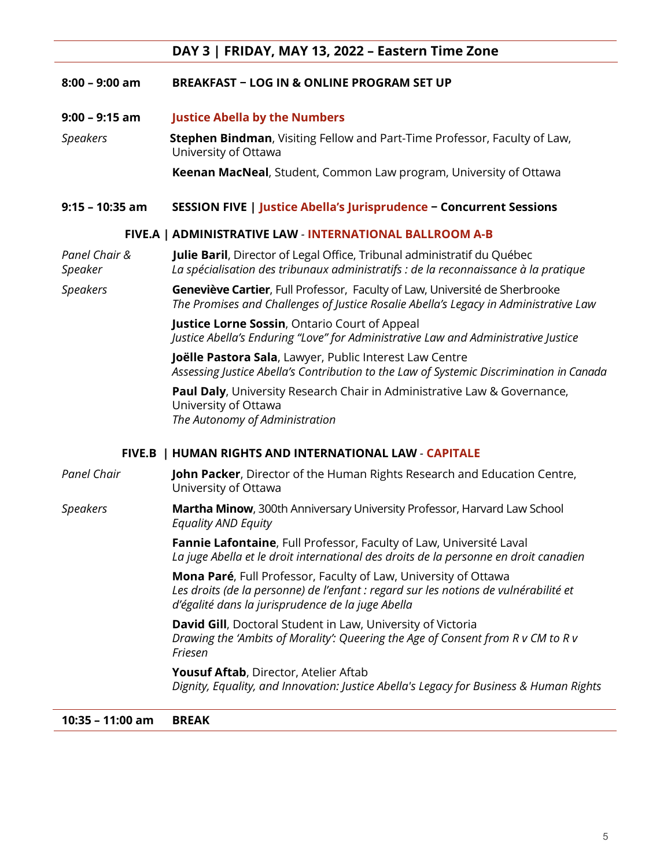# **DAY 3 | FRIDAY, MAY 13, 2022 – Eastern Time Zone**

## **8:00 – 9:00 am BREAKFAST − LOG IN & ONLINE PROGRAM SET UP**

**9:00 – 9:15 am Justice Abella by the Numbers** 

*Speakers* **Stephen Bindman**, Visiting Fellow and Part-Time Professor, Faculty of Law, University of Ottawa

**Keenan MacNeal**, Student, Common Law program, University of Ottawa

# **9:15 – 10:35 am SESSION FIVE | Justice Abella's Jurisprudence − Concurrent Sessions**

# **FIVE.A | ADMINISTRATIVE LAW** *-* **INTERNATIONAL BALLROOM A-B**

*Panel Chair &* **Julie Baril**, Director of Legal Office, Tribunal administratif du Québec *Speaker La spécialisation des tribunaux administratifs : de la reconnaissance à la pratique*

*Speakers* **Geneviève Cartier**, Full Professor, Faculty of Law, Université de Sherbrooke *The Promises and Challenges of Justice Rosalie Abella's Legacy in Administrative Law* 

> **Justice Lorne Sossin**, Ontario Court of Appeal *Justice Abella's Enduring "Love" for Administrative Law and Administrative Justice*

**Joëlle Pastora Sala**, Lawyer, Public Interest Law Centre *Assessing Justice Abella's Contribution to the Law of Systemic Discrimination in Canada*

**Paul Daly**, University Research Chair in Administrative Law & Governance, University of Ottawa *The Autonomy of Administration*

#### **FIVE.B | HUMAN RIGHTS AND INTERNATIONAL LAW** *-* **CAPITALE**

*Panel Chair* **John Packer**, Director of the Human Rights Research and Education Centre, University of Ottawa

*Speakers* **Martha Minow**, 300th Anniversary University Professor, Harvard Law School *Equality AND Equity* 

> **Fannie Lafontaine**, Full Professor, Faculty of Law, Université Laval *La juge Abella et le droit international des droits de la personne en droit canadien*

**Mona Paré**, Full Professor, Faculty of Law, University of Ottawa *Les droits (de la personne) de l'enfant : regard sur les notions de vulnérabilité et d'égalité dans la jurisprudence de la juge Abella*

**David Gill**, Doctoral Student in Law, University of Victoria *Drawing the 'Ambits of Morality': Queering the Age of Consent from R v CM to R v Friesen* 

**Yousuf Aftab**, Director, Atelier Aftab *Dignity, Equality, and Innovation: Justice Abella's Legacy for Business & Human Rights* 

**10:35 – 11:00 am BREAK**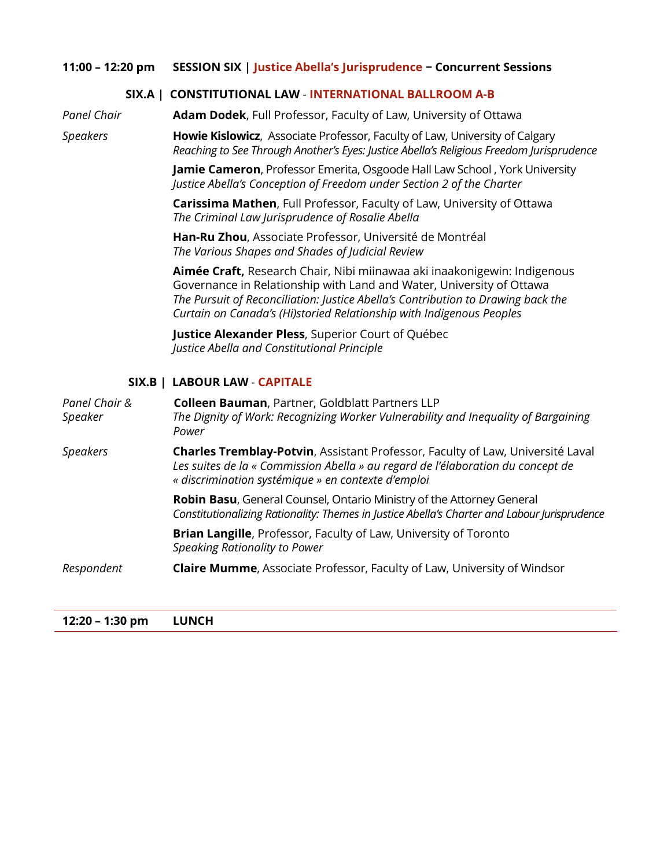## **11:00 – 12:20 pm SESSION SIX | Justice Abella's Jurisprudence − Concurrent Sessions**

## **SIX.A | CONSTITUTIONAL LAW** *-* **INTERNATIONAL BALLROOM A-B**

*Panel Chair* **Adam Dodek**, Full Professor, Faculty of Law, University of Ottawa

*Speakers* **Howie Kislowicz**, Associate Professor, Faculty of Law, University of Calgary *Reaching to See Through Another's Eyes: Justice Abella's Religious Freedom Jurisprudence*

> **Jamie Cameron**, Professor Emerita, Osgoode Hall Law School , York University *Justice Abella's Conception of Freedom under Section 2 of the Charter*

**Carissima Mathen**, Full Professor, Faculty of Law, University of Ottawa *The Criminal Law Jurisprudence of Rosalie Abella* 

**Han-Ru Zhou**, Associate Professor, Université de Montréal *The Various Shapes and Shades of Judicial Review*

**Aimée Craft,** Research Chair, Nibi miinawaa aki inaakonigewin: Indigenous Governance in Relationship with Land and Water, University of Ottawa *The Pursuit of Reconciliation: Justice Abella's Contribution to Drawing back the Curtain on Canada's (Hi)storied Relationship with Indigenous Peoples* 

**Justice Alexander Pless**, Superior Court of Québec *Justice Abella and Constitutional Principle* 

# **SIX.B | LABOUR LAW** *-* **CAPITALE**

| Panel Chair &<br>Speaker | Colleen Bauman, Partner, Goldblatt Partners LLP<br>The Dignity of Work: Recognizing Worker Vulnerability and Inequality of Bargaining<br>Power                                                                                 |
|--------------------------|--------------------------------------------------------------------------------------------------------------------------------------------------------------------------------------------------------------------------------|
| <b>Speakers</b>          | <b>Charles Tremblay-Potvin, Assistant Professor, Faculty of Law, Université Laval</b><br>Les suites de la « Commission Abella » au regard de l'élaboration du concept de<br>« discrimination systémique » en contexte d'emploi |
|                          | <b>Robin Basu, General Counsel, Ontario Ministry of the Attorney General</b><br>Constitutionalizing Rationality: Themes in Justice Abella's Charter and Labour Jurisprudence                                                   |
|                          | <b>Brian Langille, Professor, Faculty of Law, University of Toronto</b><br>Speaking Rationality to Power                                                                                                                       |
| Respondent               | <b>Claire Mumme, Associate Professor, Faculty of Law, University of Windsor</b>                                                                                                                                                |

**12:20 – 1:30 pm LUNCH**